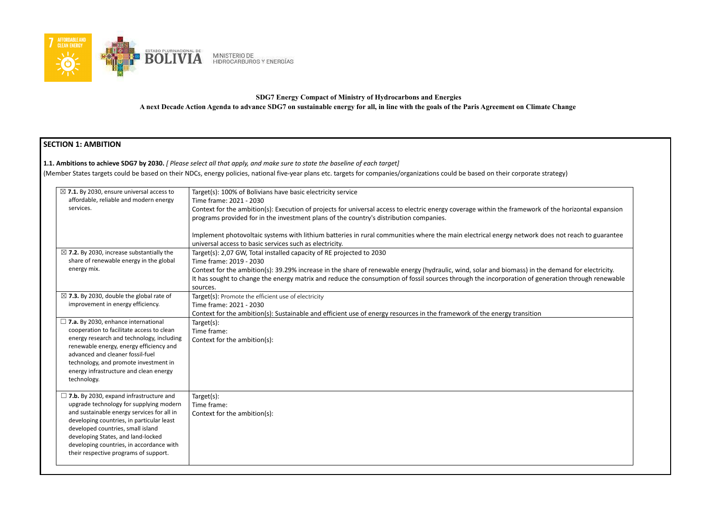

# **SDG7 Energy Compact of Ministry of Hydrocarbons and Energies A next Decade Action Agenda to advance SDG7 on sustainable energy for all, in line with the goals of the Paris Agreement on Climate Change**

# **SECTION 1: AMBITION**

### **1.1. Ambitions to achieve SDG7 by 2030.** *[ Please select all that apply, and make sure to state the baseline of each target]*

(Member States targets could be based on their NDCs, energy policies, national five-year plans etc. targets for companies/organizations could be based on their corporate

| $\boxtimes$ 7.1. By 2030, ensure universal access to | Target(s): 100% of Bolivians have basic electricity service                                                              |
|------------------------------------------------------|--------------------------------------------------------------------------------------------------------------------------|
| affordable, reliable and modern energy               | Time frame: 2021 - 2030                                                                                                  |
| services.                                            | Context for the ambition(s): Execution of projects for universal access to electric energy coverage within the framework |
|                                                      | programs provided for in the investment plans of the country's distribution companies.                                   |
|                                                      |                                                                                                                          |
|                                                      | Implement photovoltaic systems with lithium batteries in rural communities where the main electrical energy network c    |
|                                                      | universal access to basic services such as electricity.                                                                  |
| $\boxtimes$ 7.2. By 2030, increase substantially the | Target(s): 2,07 GW, Total installed capacity of RE projected to 2030                                                     |
| share of renewable energy in the global              | Time frame: 2019 - 2030                                                                                                  |
| energy mix.                                          | Context for the ambition(s): 39.29% increase in the share of renewable energy (hydraulic, wind, solar and biomass) in th |
|                                                      | It has sought to change the energy matrix and reduce the consumption of fossil sources through the incorporation of ge   |
|                                                      | sources.                                                                                                                 |
| $\boxtimes$ 7.3. By 2030, double the global rate of  | Target(s): Promote the efficient use of electricity                                                                      |
| improvement in energy efficiency.                    | Time frame: 2021 - 2030                                                                                                  |
|                                                      | Context for the ambition(s): Sustainable and efficient use of energy resources in the framework of the energy transition |
| $\Box$ 7.a. By 2030, enhance international           | Target(s):                                                                                                               |
| cooperation to facilitate access to clean            | Time frame:                                                                                                              |
| energy research and technology, including            | Context for the ambition(s):                                                                                             |
| renewable energy, energy efficiency and              |                                                                                                                          |
| advanced and cleaner fossil-fuel                     |                                                                                                                          |
| technology, and promote investment in                |                                                                                                                          |
| energy infrastructure and clean energy               |                                                                                                                          |
| technology.                                          |                                                                                                                          |
|                                                      |                                                                                                                          |
| $\Box$ 7.b. By 2030, expand infrastructure and       | Target(s):                                                                                                               |
| upgrade technology for supplying modern              | Time frame:                                                                                                              |
| and sustainable energy services for all in           | Context for the ambition(s):                                                                                             |
| developing countries, in particular least            |                                                                                                                          |
| developed countries, small island                    |                                                                                                                          |
| developing States, and land-locked                   |                                                                                                                          |
| developing countries, in accordance with             |                                                                                                                          |
| their respective programs of support.                |                                                                                                                          |
|                                                      |                                                                                                                          |

 $\alpha$  of the horizontal expansion

Ioes not reach to guarantee

ne demand for electricity. eneration through renewable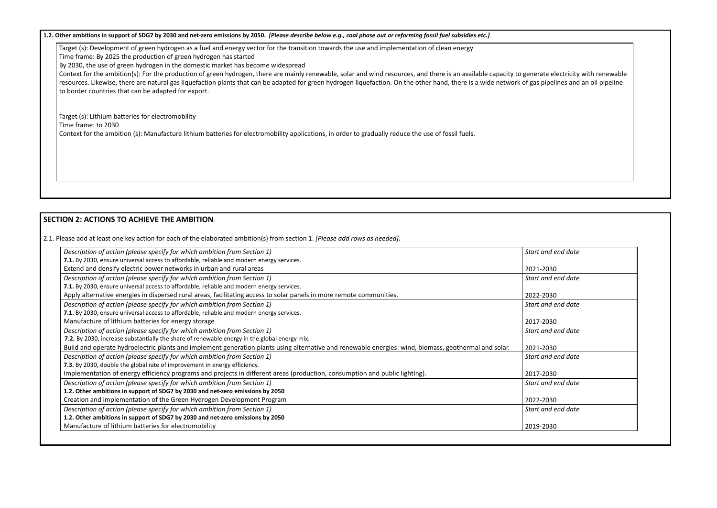1.2. Other ambitions in support of SDG7 by 2030 and net-zero emissions by 2050. [Please describe below e.g., coal phase out or reforming fossil fuel subsidies etc.]

Target (s): Development of green hydrogen as a fuel and energy vector for the transition towards the use and implementation of clean energy

Time frame: By 2025 the production of green hydrogen has started

By 2030, the use of green hydrogen in the domestic market has become widespread

Context for the ambition(s): For the production of green hydrogen, there are mainly renewable, solar and wind resources, and there is an available capacity to generate electricity with renewable resources. Likewise, there are natural gas liquefaction plants that can be adapted for green hydrogen liquefaction. On the other hand, there is a wide network of gas pipelines and an oil pipeline to border countries that can be adapted for export.

Target (s): Lithium batteries for electromobility Time frame: to 2030 Context for the ambition (s): Manufacture lithium batteries for electromobility applications, in order to gradually reduce the use of fossil fuels.

# **SECTION 2: ACTIONS TO ACHIEVE THE AMBITION**

2.1. Please add at least one key action for each of the elaborated ambition(s) from section 1. *[Please add rows as needed].*

2021-2030

and end date

2022-2030

and end date

2017-2030

and end date

| Description of action (please specify for which ambition from Section 1)                                                                              | Start i      |
|-------------------------------------------------------------------------------------------------------------------------------------------------------|--------------|
| 7.1. By 2030, ensure universal access to affordable, reliable and modern energy services.                                                             |              |
| Extend and densify electric power networks in urban and rural areas                                                                                   | 2021-        |
| Description of action (please specify for which ambition from Section 1)                                                                              | Start i      |
| 7.1. By 2030, ensure universal access to affordable, reliable and modern energy services.                                                             |              |
| Apply alternative energies in dispersed rural areas, facilitating access to solar panels in more remote communities.                                  | 2022-        |
| Description of action (please specify for which ambition from Section 1)                                                                              | <b>Start</b> |
| 7.1. By 2030, ensure universal access to affordable, reliable and modern energy services.                                                             |              |
| Manufacture of lithium batteries for energy storage                                                                                                   | 2017-        |
| Description of action (please specify for which ambition from Section 1)                                                                              | Start (      |
| 7.2. By 2030, increase substantially the share of renewable energy in the global energy mix.                                                          |              |
| Build and operate hydroelectric plants and implement generation plants using alternative and renewable energies: wind, biomass, geothermal and solar. | 2021-        |
| Description of action (please specify for which ambition from Section 1)                                                                              | Start        |
| 7.3. By 2030, double the global rate of improvement in energy efficiency.                                                                             |              |
| Implementation of energy efficiency programs and projects in different areas (production, consumption and public lighting).                           | 2017-        |
| Description of action (please specify for which ambition from Section 1)                                                                              | <b>Start</b> |
| 1.2. Other ambitions in support of SDG7 by 2030 and net-zero emissions by 2050                                                                        |              |
| Creation and implementation of the Green Hydrogen Development Program                                                                                 | 2022-        |
| Description of action (please specify for which ambition from Section 1)                                                                              | Start        |
| 1.2. Other ambitions in support of SDG7 by 2030 and net-zero emissions by 2050                                                                        |              |
| Manufacture of lithium batteries for electromobility                                                                                                  | 2019-        |

### and end date

2021-2030

and end date

2017-2030

and end date

2022-2030

and end date

2019-2030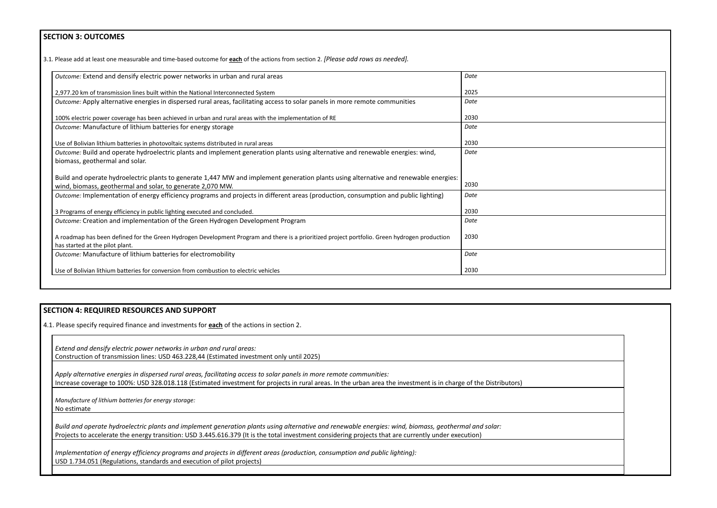## **SECTION 3: OUTCOMES**

3.1*.* Please add at least one measurable and time-based outcome for **each** of the actions from section 2. *[Please add rows as needed].*

| Outcome: Extend and densify electric power networks in urban and rural areas                                                                  | Date |
|-----------------------------------------------------------------------------------------------------------------------------------------------|------|
| 2,977.20 km of transmission lines built within the National Interconnected System                                                             | 2025 |
| Outcome: Apply alternative energies in dispersed rural areas, facilitating access to solar panels in more remote communities                  | Date |
| 100% electric power coverage has been achieved in urban and rural areas with the implementation of RE                                         | 2030 |
| Outcome: Manufacture of lithium batteries for energy storage                                                                                  | Date |
| Use of Bolivian lithium batteries in photovoltaic systems distributed in rural areas                                                          | 2030 |
| Outcome: Build and operate hydroelectric plants and implement generation plants using alternative and renewable energies: wind,               | Date |
| biomass, geothermal and solar.                                                                                                                |      |
| Build and operate hydroelectric plants to generate 1,447 MW and implement generation plants using alternative and renewable energies:         |      |
| wind, biomass, geothermal and solar, to generate 2,070 MW.                                                                                    | 2030 |
| Outcome: Implementation of energy efficiency programs and projects in different areas (production, consumption and public lighting)           | Date |
| 3 Programs of energy efficiency in public lighting executed and concluded.                                                                    | 2030 |
| Outcome: Creation and implementation of the Green Hydrogen Development Program                                                                | Date |
| A roadmap has been defined for the Green Hydrogen Development Program and there is a prioritized project portfolio. Green hydrogen production | 2030 |
| has started at the pilot plant.                                                                                                               |      |
| Outcome: Manufacture of lithium batteries for electromobility                                                                                 | Date |
| Use of Bolivian lithium batteries for conversion from combustion to electric vehicles                                                         | 2030 |

### **SECTION 4: REQUIRED RESOURCES AND SUPPORT**

4.1. Please specify required finance and investments for **each** of the actions in section 2.

*Extend and densify electric power networks in urban and rural areas:* Construction of transmission lines: USD 463.228,44 (Estimated investment only until 2025)

*Apply alternative energies in dispersed rural areas, facilitating access to solar panels in more remote communities:* Increase coverage to 100%: USD 328.018.118 (Estimated investment for projects in rural areas. In the urban area the investment is in charge of the Distributors)

*Manufacture of lithium batteries for energy storage:* No estimate

*Build and operate hydroelectric plants and implement generation plants using alternative and renewable energies: wind, biomass, geothermal and solar:* Projects to accelerate the energy transition: USD 3.445.616.379 (It is the total investment considering projects that are currently under execution)

*Implementation of energy efficiency programs and projects in different areas (production, consumption and public lighting):* USD 1.734.051 (Regulations, standards and execution of pilot projects)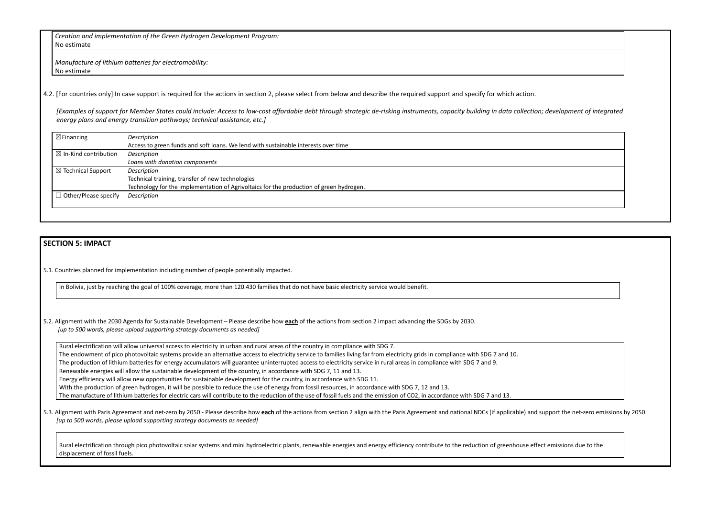*Creation and implementation of the Green Hydrogen Development Program:* No estimate

*Manufacture of lithium batteries for electromobility:* No estimate

4.2. [For countries only] In case support is required for the actions in section 2, please select from below and describe the required support and specify for which action.

*[Examples of support for Member States could include: Access to low-cost affordable debt through strategic de-risking instruments, capacity building in data collection energy plans and energy transition pathways; technical assistance, etc.]*

| $\boxtimes$ Financing<br>Description                                                    |  |
|-----------------------------------------------------------------------------------------|--|
| Access to green funds and soft loans. We lend with sustainable interests over time      |  |
| Description                                                                             |  |
| Loans with donation components                                                          |  |
| Description                                                                             |  |
| Technical training, transfer of new technologies                                        |  |
| Technology for the implementation of Agrivoltaics for the production of green hydrogen. |  |
| Description                                                                             |  |
|                                                                                         |  |
|                                                                                         |  |

#### **SECTION 5: IMPACT**

5.1. Countries planned for implementation including number of people potentially impacted.

In Bolivia, just by reaching the goal of 100% coverage, more than 120.430 families that do not have basic electricity service would benefit.

5.2. Alignment with the 2030 Agenda for Sustainable Development – Please describe how **each** of the actions from section 2 impact advancing the SDGs by 2030. *[up to 500 words, please upload supporting strategy documents as needed]*

5.3. Alignment with Paris Agreement and net-zero by 2050 - Please describe how each of the actions from section 2 align with the Paris Agreement and national NDCs (if applicable) and s *[up to 500 words, please upload supporting strategy documents as needed]*

Rural electrification through pico photovoltaic solar systems and mini hydroelectric plants, renewable energies and energy efficiency contribute to the reduction of greenhouse effect enter eduction of greenhouse effect ent displacement of fossil fuels.

| r; development of integrated            |
|-----------------------------------------|
|                                         |
|                                         |
|                                         |
|                                         |
|                                         |
|                                         |
|                                         |
| support the net-zero emissions by 2050. |
| ct emissions due to the                 |

Rural electrification will allow universal access to electricity in urban and rural areas of the country in compliance with SDG 7. The endowment of pico photovoltaic systems provide an alternative access to electricity service to families living far from electricity grids in compliance with SDG 7 and 10. The production of lithium batteries for energy accumulators will guarantee uninterrupted access to electricity service in rural areas in compliance with SDG 7 and 9. Renewable energies will allow the sustainable development of the country, in accordance with SDG 7, 11 and 13. Energy efficiency will allow new opportunities for sustainable development for the country, in accordance with SDG 11. With the production of green hydrogen, it will be possible to reduce the use of energy from fossil resources, in accordance with SDG 7, 12 and 13. The manufacture of lithium batteries for electric cars will contribute to the reduction of the use of fossil fuels and the emission of CO2, in accordance with SDG 7 and 13.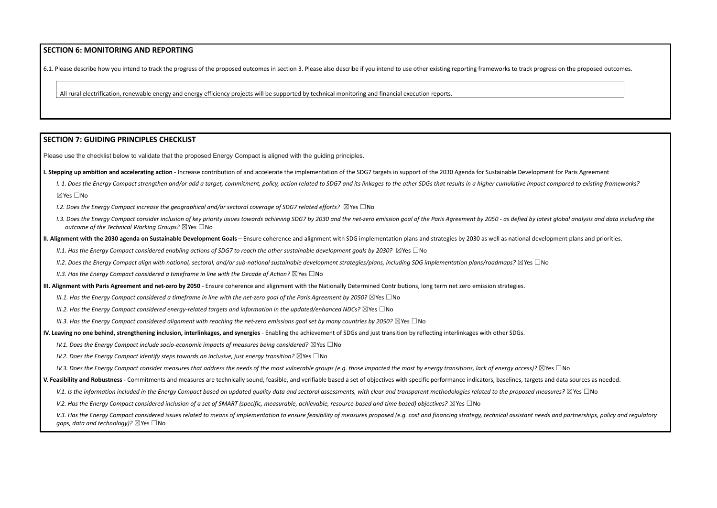#### **SECTION 6: MONITORING AND REPORTING**

6.1. Please describe how you intend to track the progress of the proposed outcomes in section 3. Please also describe if you intend to use other existing reporting frameworks to track progress on the proposed outcomes.

All rural electrification, renewable energy and energy efficiency projects will be supported by technical monitoring and financial execution reports.

#### **SECTION 7: GUIDING PRINCIPLES CHECKLIST**

Please use the checklist below to validate that the proposed Energy Compact is aligned with the guiding principles.

- I. Stepping up ambition and accelerating action Increase contribution of and accelerate the implementation of the SDG7 targets in support of the 2030 Agenda for Sustainable Development for Paris Agreement
	- I. 1. Does the Energy Compact strengthen and/or add a target, commitment, policy, action related to SDG7 and its linkages to the other SDGs that results in a higher cumulative impact compared to existing frameworks? ☒Yes ☐No
	- *I.2. Does the Energy Compact increase the geographical and/or sectoral coverage of SDG7 related efforts?* ☒Yes ☐No
	- 1.3. Does the Energy Compact consider inclusion of key priority issues towards achieving SDG7 by 2030 and the net-zero emission goal of the Paris Agreement by 2050 as defied by latest global analysis and data including t *outcome of the Technical Working Groups?* ☒Yes ☐No
- II. Alignment with the 2030 agenda on Sustainable Development Goals Ensure coherence and alignment with SDG implementation plans and strategies by 2030 as well as national development plans and priorities.

II.1. Has the Energy Compact considered enabling actions of SDG7 to reach the other sustainable development goals by 2030?  $\boxtimes$  Yes  $\Box$  No

II.2. Does the Eneray Compact alian with national, sectoral, and/or sub-national sustainable development strategies/plans, including SDG implementation plans/roadmaps?  $\boxtimes$  Yes  $\Box$  No

*II.3. Has the Energy Compact considered a timeframe in line with the Decade of Action?* ☒Yes ☐No

- III. Alignment with Paris Agreement and net-zero by 2050 Ensure coherence and alignment with the Nationally Determined Contributions. Iong term net zero emission strategies.
	- III.1. Has the Enerav Compact considered a timeframe in line with the net-zero aoal of the Paris Aareement by 2050?  $\boxtimes$  Yes  $\Box$  No
	- *III.2. Has the Energy Compact considered energy-related targets and information in the updated/enhanced NDCs?* ☒Yes ☐No
	- III.3. Has the Enerav Compact considered alianment with reachina the net-zero emissions aoal set by many countries by 2050?  $\boxtimes$  Yes  $\Box$  No
- IV. Leaving no one behind, strengthening inclusion, interlinkages, and synergies Enabling the achievement of SDGs and just transition by reflecting interlinkages with other SDGs.
	- *IV.1. Does the Energy Compact include socio-economic impacts of measures being considered?* ☒Yes ☐No
	- *IV.2. Does the Energy Compact identify steps towards an inclusive, just energy transition?* ☒Yes ☐No
	- IV.3. Does the Energy Compact consider measures that address the needs of the most vulnerable groups (e.g. those impacted the most by energy transitions, lack of energy access)?  $\boxtimes$  Yes  $\Box$  No
- V. Feasibility and Robustness Commitments and measures are technically sound, feasible, and verifiable based a set of objectives with specific performance indicators, baselines, targets and data sources as needed.
	- V.1. Is the information included in the Energy Compact based on updated quality data and sectoral assessments, with clear and transparent methodologies related to the proposed measures?  $\boxtimes$  Yes  $\Box$  No
	- V.2. Has the Energy Compact considered inclusion of a set of SMART (specific, measurable, achievable, resource-based and time based) objectives?  $\boxtimes$  Yes  $\Box$  No
	- V.3. Has the Energy Compact considered issues related to means of implementation to ensure feasibility of measures proposed (e.g. cost and financing strategy, technical assistant needs and partnerships, policy and regulato *gaps, data and technology)?* ⊠Yes □No